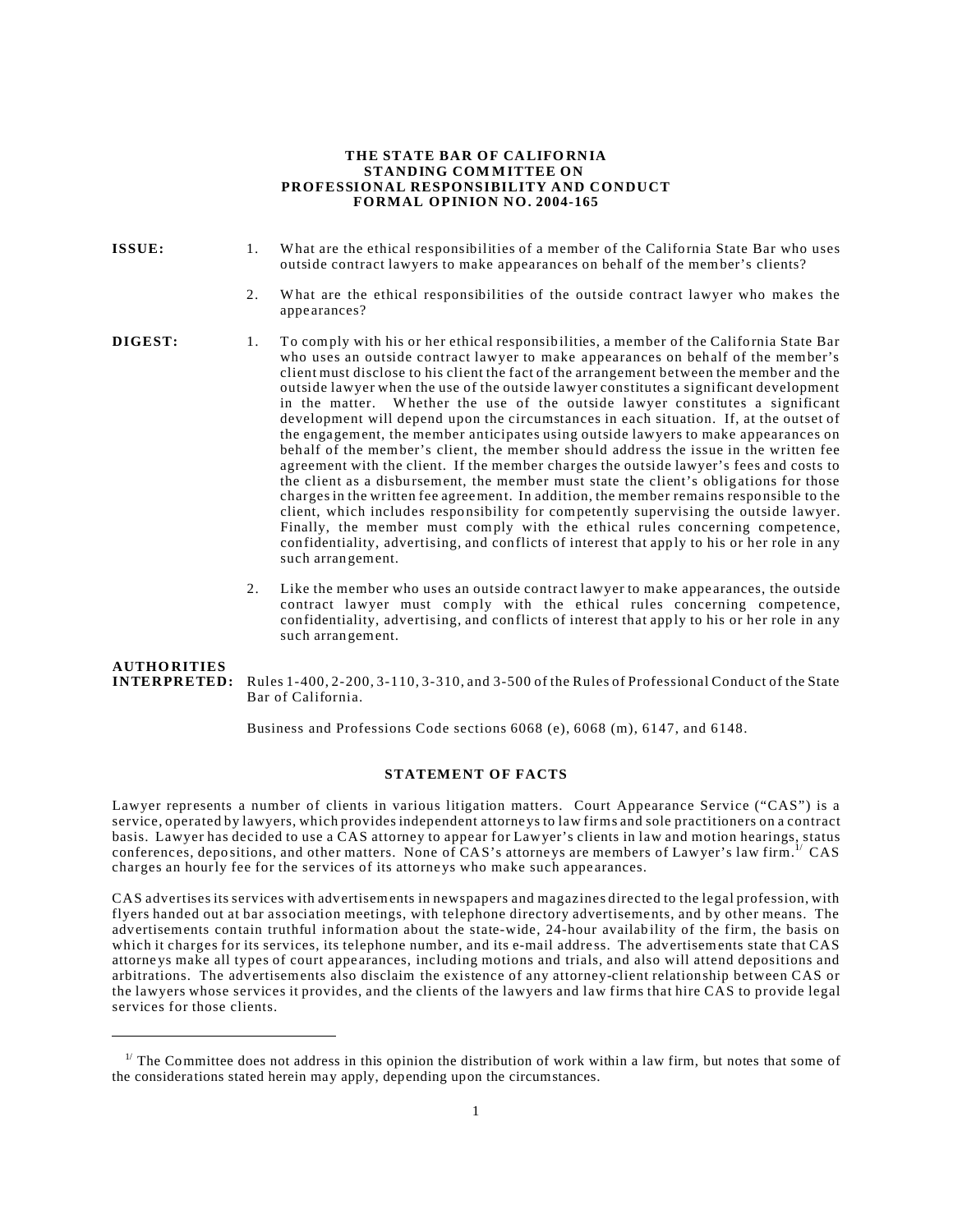#### **THE STATE BAR OF CALIFO RNIA STANDING COM MITTEE ON PROFESSIONAL RESPONSIBILITY AND CONDUCT FORMAL OPINION NO. 2004-165**

- 
- **ISSUE:** 1. What are the ethical responsibilities of a member of the California State Bar who uses outside contract lawyers to make appearances on behalf of the member's clients?
	- 2. What are the ethical responsibilities of the outside contract lawyer who makes the appe arances?

- **DIGEST:** 1. To comply with his or her ethical responsibilities, a member of the California State Bar who uses an outside contract lawyer to make appearances on behalf of the member's client must disclose to his client the fact of the arrangement between the member and the outside lawyer when the use of the outside lawyer constitutes a significant development in the matter. Whether the use of the outside lawyer constitutes a significant development will depend upon the circumstances in each situation. If, at the outset of the engagement, the member anticipates using outside lawyers to make appearances on behalf of the member's client, the member should addre ss the issue in the written fee agreement with the client. If the member charges the outside lawyer's fees and costs to the client as a disbursement, the member must state the client's obligations for those charges in the written fee agreement. In addition, the member remains respo nsible to the client, which includes responsibility for competently supervising the outside lawyer. Finally, the member must comply with the ethical rules concerning competence, confidentiality, advertising, and conflicts of interest that app ly to his or her role in any such arrangement.
	- 2. Like the member who uses an outside contract lawyer to make appe arances, the outside contract lawyer must comply with the ethical rules concerning competence, confidentiality, advertising, and conflicts of interest that apply to his or her role in any such arrangement.

**AUTHO RITIES INTERPRETED:** Rules 1-400, 2-200, 3-110, 3-310, and 3-500 of the Rules of Professional Conduct of the State Bar of California.

Business and Professions Code sections 6068 (e), 6068 (m), 6147, and 6148.

# **STATEMENT OF FACTS**

Lawyer represents a number of clients in various litigation matters. Court Appearance Service ("CAS") is a service, operated by lawyers, which provides independent attorne ys to law firms and sole practitioners on a contract basis. Lawyer has decided to use a CAS attorney to appear for Lawyer's clients in law and motion hearings, status conferences, depositions, and other matters. None of CAS's attorneys are members of Lawyer's law firm.<sup>1/</sup> CAS charges an hourly fee for the services of its attorne ys who make such appe arances.

CAS advertises its services with advertisements in newspapers and magazines directed to the legal profession, with flyers handed out at bar association meetings, with telephone directory advertiseme nts, and by other means. The advertisements contain truthful information about the state-wide, 24-hour availab ility of the firm, the basis on which it charges for its services, its telephone number, and its e-mail address. The advertisements state that CAS attorne ys make all types of court appe arances, including motions and trials, and also will attend depositions and arbitrations. The advertisements also disclaim the existence of any attorney-client relationship between CAS or the lawyers whose services it provides, and the clients of the lawyers and law firms that hire CAS to provide legal services for those clients.

 $1/$  The Committee does not address in this opinion the distribution of work within a law firm, but notes that some of the considerations stated herein may apply, depending upon the circumstances.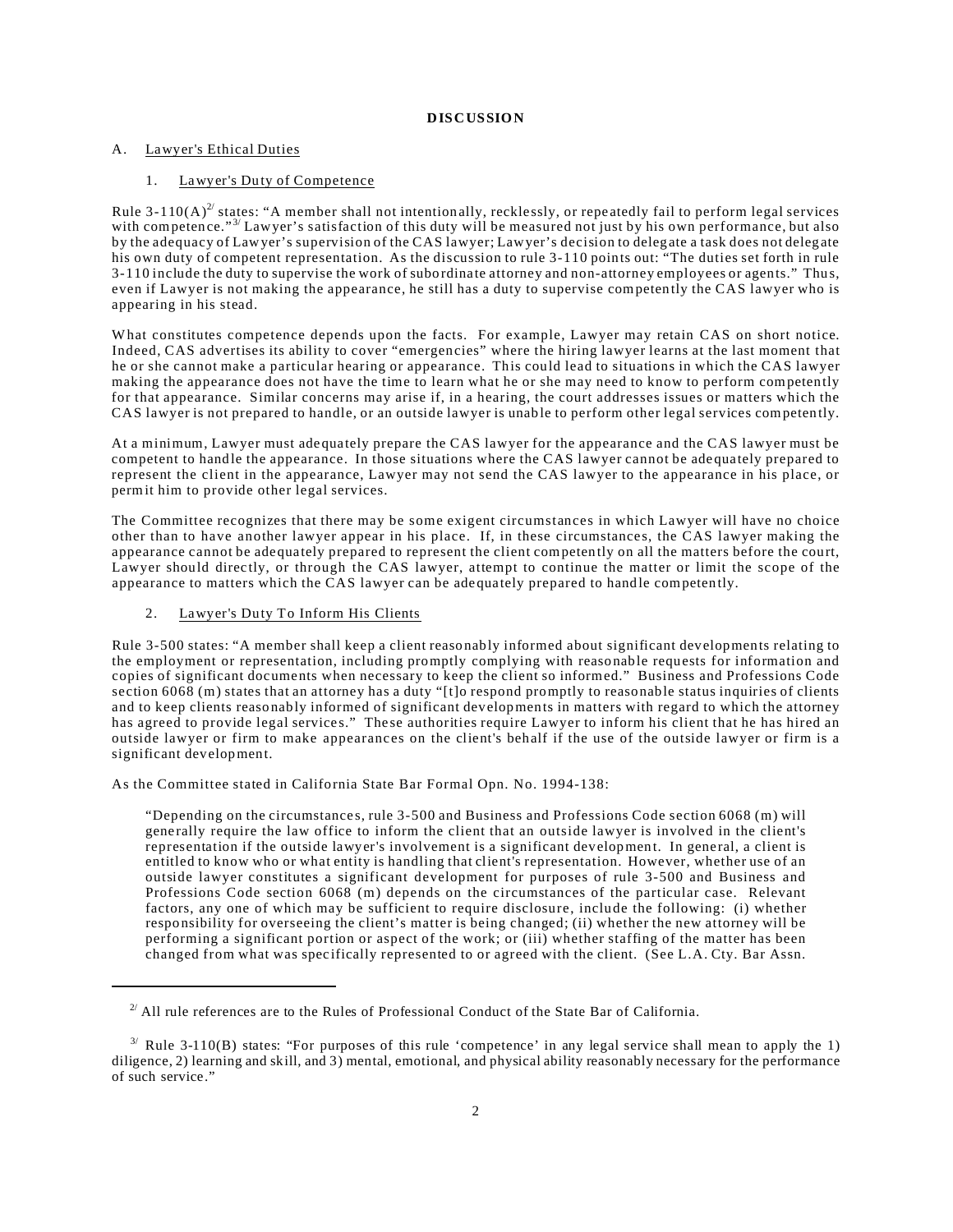### **DISCUSSION**

#### A. Lawyer's Ethical Duties

## 1. Lawyer's Duty of Competence

Rule 3-110(A)<sup>2/</sup> states: "A member shall not intentionally, recklessly, or repeatedly fail to perform legal services with competence."<sup>3/</sup> Lawyer's satisfaction of this duty will be measured not just by his own performance, but also by the adequacy of Lawyer's supervision of the CAS lawyer; Lawyer's decision to deleg ate a task does not deleg ate his own duty of competent representation. As the discussion to rule 3-110 points out: "The duties set forth in rule 3-110 include the duty to supervise the work of subordinate attorney and non-attorney employees or agents." Thus, even if Lawyer is not making the appearance, he still has a duty to supervise competently the CAS lawyer who is appearing in his stead.

What constitutes competence depends upon the facts. For example, Lawyer may retain CAS on short notice. Indeed, CAS advertises its ability to cover "emergen cies" where the hiring lawyer learns at the last moment that he or she cannot make a particular hearing or appearance. This could lead to situations in which the CAS lawyer making the appearance does not have the time to learn what he or she may need to know to perform competently for that appearance. Similar concerns may arise if, in a hearing, the court addresses issues or matters which the CAS lawyer is not prepared to handle, or an outside lawyer is unable to perform other legal services competently.

At a minimum, Lawyer must adequa tely prepare the CAS lawyer for the appearance and the CAS lawyer must be competent to handle the appearance. In those situations where the CAS lawyer cannot be adequately prepared to represent the client in the appearance, Lawyer may not send the CAS lawyer to the appearance in his place, or permit him to provide other legal services.

The Committee recognizes that there may be some exigent circumstances in which Lawyer will have no choice other than to have another lawyer appear in his place. If, in these circumstance s, the CAS lawyer making the appearance cannot be adequately prepared to represent the client competently on all the matters before the court, Lawyer should directly, or through the CAS lawyer, attempt to continue the matter or limit the scope of the appearance to matters which the CAS lawyer can be adequately prepared to handle competently.

### 2. Lawyer's Duty To Inform His Clients

Rule 3-500 states: "A member shall keep a client reaso nably informed about significant developments relating to the employment or representation, including promptly complying with reaso nable requests for information and copies of significant documents when necessary to keep the client so informed." Business and Professions Code section 6068 (m) states that an attorney has a duty "[t]o respond promptly to reasonable status inquiries of clients and to keep clients reaso nably informed of significant developments in matters with regard to which the attorney has agreed to provide legal services." These authorities require Lawyer to inform his client that he has hired an outside lawyer or firm to make appearances on the client's behalf if the use of the outside lawyer or firm is a significant development.

As the Committee stated in California State Bar Formal Opn. No. 1994-138:

"Depending on the circumstance s, rule 3-500 and Business and Professions Code section 6068 (m) will gene rally require the law office to inform the client that an outside lawyer is involved in the client's representation if the outside lawyer's involvement is a significant development. In general, a client is entitled to know who or what entity is handling that client's representation. However, whether use of an outside lawyer constitutes a significant development for purposes of rule 3-500 and Business and Professions Code section 6068 (m) depends on the circumstances of the particular case. Relevant factors, any one of which may be sufficient to require disclosure, include the following: (i) whether respo nsibility for overseeing the client's matter is being changed; (ii) whether the new attorney will be performing a significant portion or aspect of the work; or (iii) whether staffing of the matter has been changed from what was spec ifically represented to or agreed with the client. (See L.A. Cty. Bar Assn.

 $2^{2}$  All rule references are to the Rules of Professional Conduct of the State Bar of California.

 $3'$  Rule 3-110(B) states: "For purposes of this rule 'competence' in any legal service shall mean to apply the 1) diligence, 2) learning and skill, and 3) mental, emotional, and physical ability reasonably necessary for the performance of such service."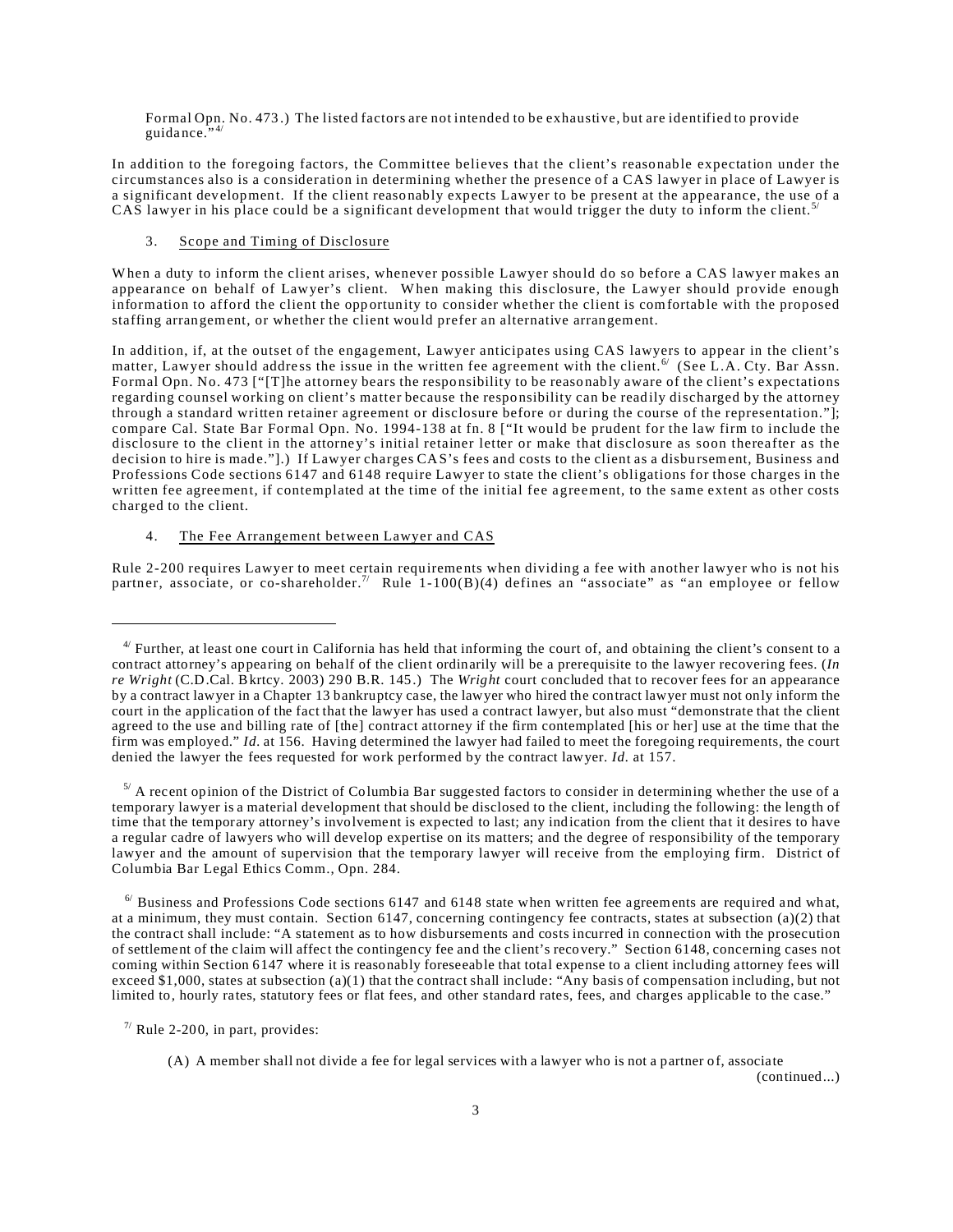Formal Opn. No. 473 .) The listed factors are not intended to be exhaustive, but are identified to provide guidance. $\cdot$ <sup>2</sup>

In addition to the foregoing factors, the Committee believes that the client's reaso nable expectation under the circumstances also is a consideration in determining whether the presence of a CAS lawyer in place of Lawyer is a significant development. If the client reaso nably expects Lawyer to be present at the appearance, the use of a CAS lawyer in his place could be a significant development that would trigger the duty to inform the client.<sup>5</sup>

## 3. Scope and Timing of Disclosure

When a duty to inform the client arises, whenever possible Lawyer should do so before a CAS lawyer makes an appearance on behalf of Lawyer's client. When making this disclosure, the Lawyer should provide enough information to afford the client the opportunity to consider whether the client is comfortable with the proposed staffing arrangement, or whether the client would prefer an alternative arrangement.

In addition, if, at the outset of the engagement, Lawyer anticipates using CAS lawyers to appear in the client's matter, Lawyer should address the issue in the written fee agreement with the client. <sup>6</sup> (See L.A. Cty. Bar Assn. Formal Opn. No. 473 ["[T]he attorney bears the respo nsibility to be reaso nably aware of the client's expectations regarding counsel working on client's matter because the respo nsibility can be read ily discharged by the attorney through a standard written retainer agreement or disclosure before or during the course of the representation."]; compare Cal. State Bar Formal Opn. No. 1994-138 at fn. 8 ["It would be prudent for the law firm to include the disclosure to the client in the attorney's initial retainer letter or make that disclosure as soon thereafter as the decision to hire is made."[.) If Lawyer charges CAS's fees and costs to the client as a disbursement, Business and Professions Code sections 6147 and 6148 require Lawyer to state the client's obligations for those charges in the written fee agreement, if contemplated at the time of the initial fee agreement, to the same extent as other costs charged to the client.

## 4. The Fee Arrangement between Lawyer and CAS

Rule 2-200 requires Lawyer to meet certain requirements when dividing a fee with another lawyer who is not his partner, associate, or co-shareholder.<sup>7/</sup> Rule 1-100(B)(4) defines an "associate" as "an employee or fellow

(continued...)

<sup>&</sup>lt;sup>4/</sup> Further, at least one court in California has held that informing the court of, and obtaining the client's consent to a contract attorney's appearing on behalf of the client ordinarily will be a prerequisite to the lawyer recovering fees. (*In re Wright* (C.D.Cal. Bkrtcy. 2003) 290 B.R. 145.) The *Wright* court concluded that to recover fees for an appearance by a contract lawyer in a Chapter 13 bankruptcy case, the lawyer who hired the contract lawyer must not only inform the court in the application of the fact that the lawyer has used a contract lawyer, but also must "demonstrate that the client agreed to the use and billing rate of [the] contract attorney if the firm contemplated [his or her] use at the time that the firm was employed." *Id.* at 156. Having determined the lawyer had failed to meet the foregoing requirements, the court denied the lawyer the fees requested for work performed by the contract lawyer. *Id.* at 157.

 $5/$  A recent opinion of the District of Columbia Bar suggested factors to consider in determining whether the use of a temporary lawyer is a material development that should be disclosed to the client, including the following: the length of time that the temporary attorney's involvement is expected to last; any indication from the client that it desires to have a regular cadre of lawyers who will develop expertise on its matters; and the degree of responsibility of the temporary lawyer and the amount of supervision that the temporary lawyer will receive from the employing firm. District of Columbia Bar Legal Ethics Comm., Opn. 284.

 $6/$  Business and Professions Code sections 6147 and 6148 state when written fee agreements are required and what, at a minimum, they must contain. Section 6147, concerning contingency fee contracts, states at subsection (a)(2) that the contract shall include: "A statement as to how disbursements and costs incurred in connection with the prosecution of settlement of the claim will affect the contingency fee and the client's recovery." Section 6148, concerning cases not coming within Section 6147 where it is reasonably foreseeable that total expense to a client including attorney fees will exceed \$1,000, states at subsection (a)(1) that the contract shall include: "Any basis of compensation including, but not limited to, hourly rates, statutory fees or flat fees, and other standard rates, fees, and charges applicable to the case."

 $\frac{7}{7}$  Rule 2-200, in part, provides:

<sup>(</sup>A) A member shall not divide a fee for legal services with a lawyer who is not a partner of, associate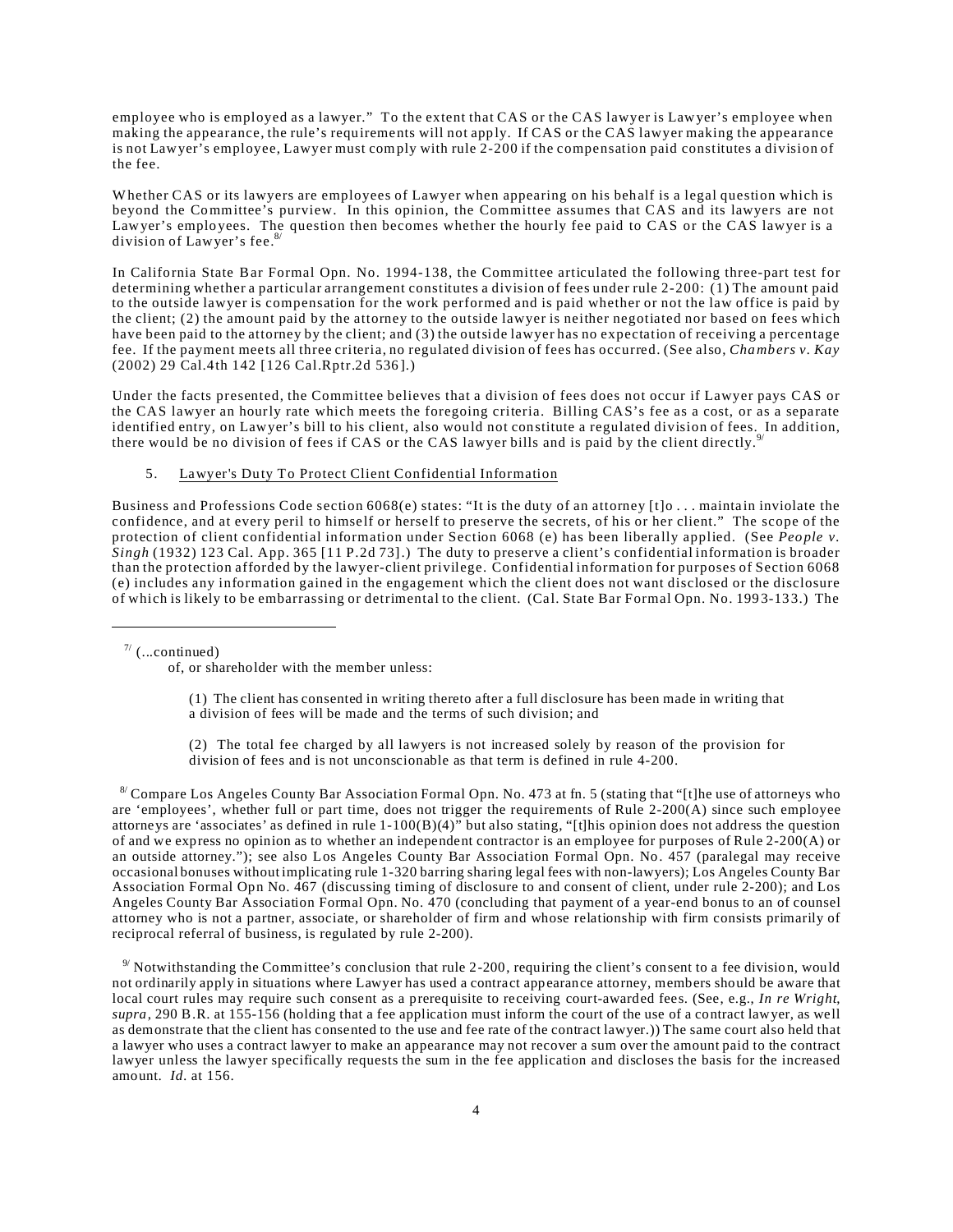employee who is employed as a lawyer." To the extent that CAS or the CAS lawyer is Lawyer's employee when making the appearance, the rule's requirements will not apply. If CAS or the CAS lawyer making the appearance is not Lawyer's employee, Lawyer must comply with rule 2-200 if the compensation paid constitutes a division of the fee.

Whether CAS or its lawyers are employees of Lawyer when appearing on his behalf is a legal question which is beyond the Committee's purview. In this opinion, the Committee assumes that CAS and its lawyers are not Lawyer's employees. The question then becomes whether the hourly fee paid to CAS or the CAS lawyer is a division of Lawyer's fee.<sup>8</sup>

In California State Bar Formal Opn. No. 1994-138, the Committee articulated the following three-part test for determining whether a particular arrangement constitutes a division of fees under rule 2-200: (1) The amount paid to the outside lawyer is compensation for the work performed and is paid whether or not the law office is paid by the client; (2) the amount paid by the attorney to the outside lawyer is neither negotiated nor based on fees which have been paid to the attorney by the client; and (3) the outside lawyer has no expectation of receiving a percentage fee. If the payment mee ts all three criteria, no regulated division of fees has occurred. (See also, *Chambers v. Kay* (2002) 29 Cal.4 th 142 [126 Cal.Rptr.2d 536 ].)

Under the facts presented, the Committee believes that a division of fees does not occur if Lawyer pays CAS or the CAS lawyer an hourly rate which meets the foregoing criteria. Billing CAS's fee as a cost, or as a separate identified entry, on Lawyer's bill to his client, also would not constitute a regulated division of fees. In addition, there would be no division of fees if CAS or the CAS lawyer bills and is paid by the client directly.<sup>9</sup>

### 5. Lawyer's Duty To Protect Client Confidential Information

Business and Professions Code section 6068(e) states: "It is the duty of an attorney [t]o ... maintain inviolate the confidence, and at every peril to himself or herself to preserve the secrets, of his or her client." The scope of the protection of client confidential information under Section 6068 (e) has been liberally applied. (See *People v*. *Singh* (1932) 123 Cal. App. 365 [11 P.2d 73].) The duty to preserve a client's confidential information is broader than the protection afforded by the lawyer-client privilege. Confidential information for purposes of Section 6068 (e) includes any information gained in the engagement which the client does not want disclosed or the disclosure of which is likely to be embarrassing or detrimental to the client. (Cal. State Bar Formal Opn. No. 1993-133.) The

 $7/$  (...continued)

of, or shareholder with the member unless:

(1) The client has consented in writing thereto after a full disclosure has been made in writing that a division of fees will be made and the terms of such division; and

(2) The total fee charged by all lawyers is not increased solely by reason of the provision for division of fees and is not unconscionable as that term is defined in rule 4-200.

 $8'$  Compare Los Angeles County Bar Association Formal Opn. No. 473 at fn. 5 (stating that "[t]he use of attorneys who are 'employees', whether full or part time, does not trigger the requirements of Rule 2-200(A) since such employee attorneys are 'associates' as defined in rule  $1-100(B)(4)$ " but also stating, "[t]his opinion does not address the question of and we express no opinion as to whether an independent contractor is an employee for purposes of Rule 2-200(A) or an outside attorney."); see also Los Angeles County Bar Association Formal Opn. No. 457 (paralegal may receive occasional bonuses without implicating rule 1-320 barring sharing legal fees with non-lawyers); Los Angeles County Bar Association Formal Opn No. 467 (discussing timing of disclosure to and consent of client, under rule 2-200); and Los Angeles County Bar Association Formal Opn. No. 470 (concluding that payment of a year-end bonus to an of counsel attorney who is not a partner, associate, or shareholder of firm and whose relationship with firm consists primarily of reciprocal referral of business, is regulated by rule 2-200).

 $9'$  Notwithstanding the Committee's conclusion that rule 2-200, requiring the client's consent to a fee division, would not ordinarily apply in situations where Lawyer has used a contract appearance attorney, members should be aware that local court rules may require such consent as a prerequisite to receiving court-awarded fees. (See, e.g., *In re Wright*, *supra*, 290 B.R. at 155-156 (holding that a fee application must inform the court of the use of a contract lawyer, as well as demonstrate that the client has consented to the use and fee rate of the contract lawyer.)) The same court also held that a lawyer who uses a contract lawyer to make an appearance may not recover a sum over the amount paid to the contract lawyer unless the lawyer specifically requests the sum in the fee application and discloses the basis for the increased amount. *Id.* at 156.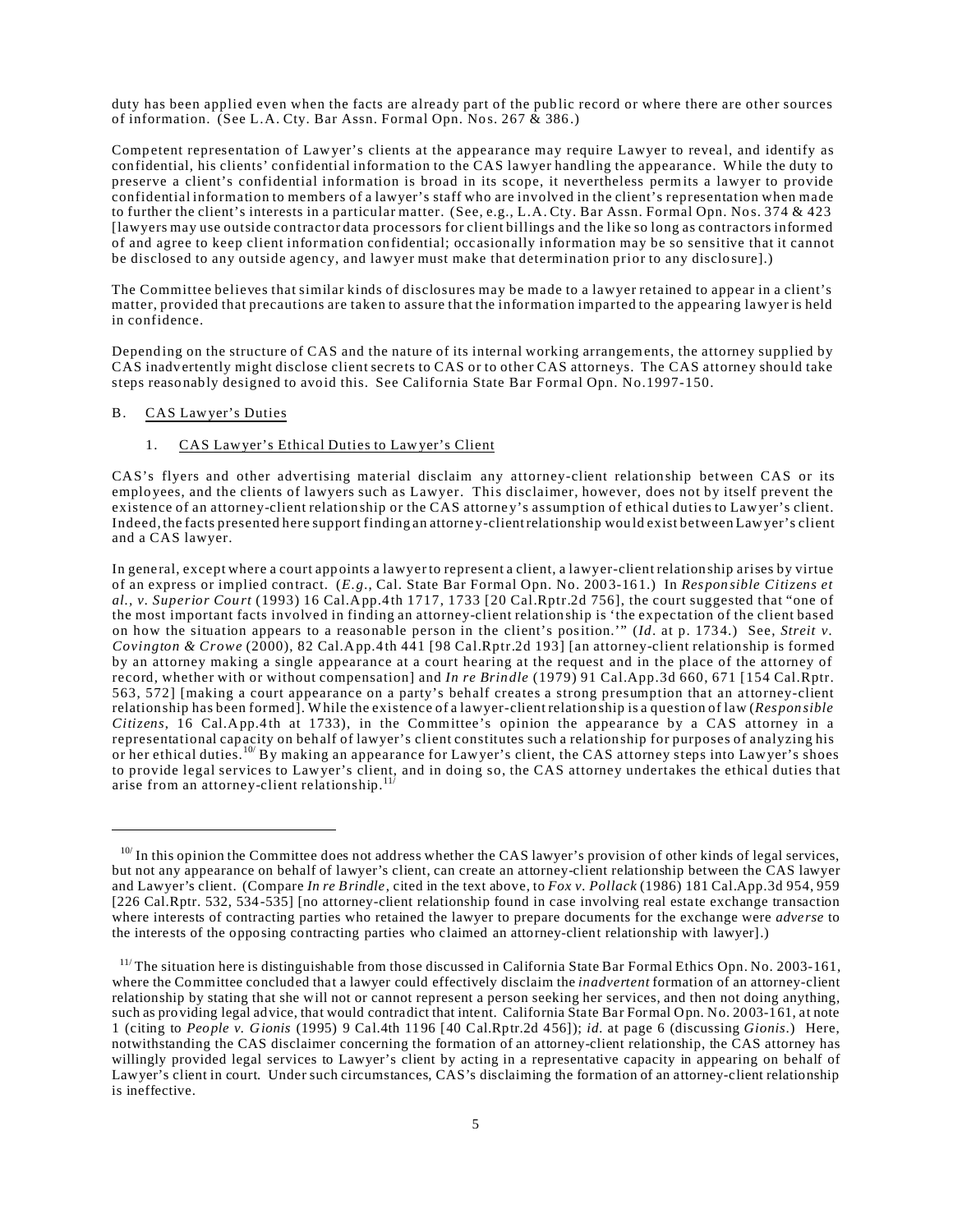duty has been applied even when the facts are already part of the pub lic record or where there are other sources of information. (See L.A. Cty. Bar Assn. Formal Opn. Nos. 267  $\&$  386.)

Competent representation of Lawyer's clients at the appearance may require Lawyer to reveal, and identify as confidential, his clients' confidential information to the CAS lawyer handling the appearance. While the duty to preserve a client's confidential information is broad in its scope, it nevertheless permits a lawyer to provide confidential information to members of a lawyer's staff who are involved in the client's representation when made to further the client's interests in a particular matter. (See, e.g., L.A. Cty. Bar Assn. Formal Opn. Nos. 374 & 423 [lawyers may use outside contractor data processors for client billings and the like so long as contractors informed of and agree to keep client information confidential; occ asionally information may be so sensitive that it cannot be disclosed to any outside agency, and lawyer must make that determination prior to any disclosure].)

The Committee believes that similar kinds of disclosures may be made to a lawyer retained to appear in a client's matter, provided that precautions are taken to assure that the information imparted to the appearing lawyer is held in confidence.

Depending on the structure of CAS and the nature of its internal working arrangements, the attorney supplied by CAS inadvertently might disclose client secre ts to CAS or to other CAS attorneys. The CAS attorney should take steps reaso nably designed to avoid this. See California State Bar Formal Opn. No.1997-150.

### B. CAS Lawyer's Duties

# 1. CAS Lawyer's Ethical Duties to Lawyer's Client

CAS's flyers and other advertising material disclaim any attorney-client relationship between CAS or its emplo yees, and the clients of lawyers such as Lawyer. This disclaimer, however, does not by itself prevent the existence of an attorney-client relationship or the CAS attorne y's assumption of ethical duties to Lawyer's client. Indeed,the facts presented here support finding an attorne y-clientrelationship would exist between Lawyer's client and a CAS lawyer.

In general, except where a court appoints a lawyer to represent a client, a lawyer-client relationship arises by virtue of an express or implied contract. (*E.g.*, Cal. State Bar Formal Opn. No. 200 3-16 1.) In *Respon sible Citizens et al., v. Superior Cou rt* (1993) 16 Cal.App.4 th 1717, 1733 [20 Cal.Rptr.2d 756], the court suggested that "one of the most important facts involved in finding an attorney-client relationship is 'the expectation of the client based on how the situation appears to a reaso nable person in the client's position.'" (*Id*. at p. 173 4.) See, *Streit v. Covington & Crowe* (2000), 82 Cal.App.4 th 441 [98 Cal.Rptr.2d 193] [an attorney-client relationship is formed by an attorney making a single appearance at a court hearing at the request and in the place of the attorney of record, whether with or without compensation] and *In re Brindle* (1979) 91 Cal.App.3d 660, 671 [154 Cal.Rptr. 563, 572] [making a court appearance on a party's behalf creates a strong presumption that an attorney-client relationship has been formed]. While the existence of a lawyer-client relationship is a question of law (*Respon sible Citizens*, 16 Cal.App.4 th at 1733), in the Committee's opinion the appearance by a CAS attorney in a representational capacity on behalf of lawyer's client constitutes such a relationship for purposes of analyzing his or her ethical duties.10/ By making an appearance for Lawyer's client, the CAS attorney steps into Lawyer's shoes to provide legal services to Lawyer's client, and in doing so, the CAS attorney undertakes the ethical duties that arise from an attorney-client relationship.<sup>11</sup>

 $10$ / In this opinion the Committee does not address whether the CAS lawyer's provision of other kinds of legal services, but not any appearance on behalf of lawyer's client, can create an attorney-client relationship between the CAS lawyer and Lawyer's client. (Compare *In re Brindle*, cited in the text above, to *Fox v. Pollack* (1986) 181 Cal.App.3d 954, 959 [226 Cal.Rptr. 532, 534-535] [no attorney-client relationship found in case involving real estate exchange transaction where interests of contracting parties who retained the lawyer to prepare documents for the exchange were *adverse* to the interests of the opposing contracting parties who claimed an attorney-client relationship with lawyer].)

<sup>&</sup>lt;sup>11/</sup> The situation here is distinguishable from those discussed in California State Bar Formal Ethics Opn. No. 2003-161, where the Committee concluded that a lawyer could effectively disclaim the *inadvertent* formation of an attorney-client relationship by stating that she will not or cannot represent a person seeking her services, and then not doing anything, such as providing legal advice, that would contradict that intent. California State Bar Formal Opn. No. 2003-161, at note 1 (citing to *People v. Gionis* (1995) 9 Cal.4th 1196 [40 Cal.Rptr.2d 456]); *id.* at page 6 (discussing *Gionis*.) Here, notwithstanding the CAS disclaimer concerning the formation of an attorney-client relationship, the CAS attorney has willingly provided legal services to Lawyer's client by acting in a representative capacity in appearing on behalf of Lawyer's client in court. Under such circumstances, CAS's disclaiming the formation of an attorney-client relationship is ineffective.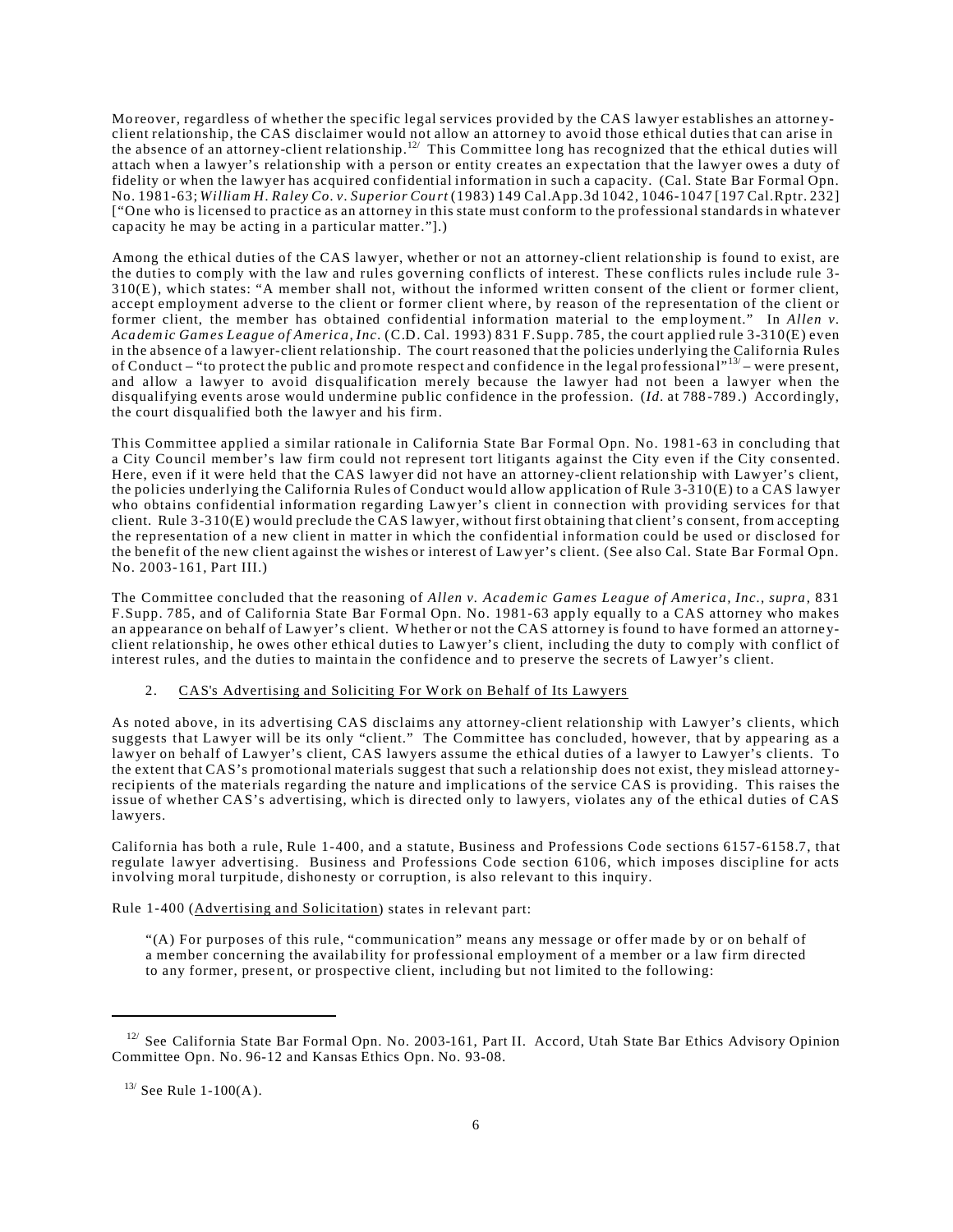Mo reover, regardless of whether the specific legal services provided by the CAS lawyer establishes an attorneyclient relationship, the CAS disclaimer would not allow an attorney to avoid those ethical duties that can arise in the absence of an attorney-client relationship.<sup>12</sup> This Committee long has recognized that the ethical duties will attach when a lawyer's relation ship with a person or entity creates an expectation that the lawyer owes a duty of fidelity or when the lawyer has acquired confidential information in such a capacity. (Cal. State Bar Formal Opn. No. 1981-63; *William H. Raley Co. v. Superior Cou rt* (1983) 149 Cal.App.3d 1042, 1046-1047 [197 Cal.Rptr. 232] ["One who is licensed to practice as an attorney in this state must conform to the professional standards in whatever capacity he may be acting in a particular matter."].)

Among the ethical duties of the CAS lawyer, whether or not an attorney-client relationship is found to exist, are the duties to comply with the law and rules governing conflicts of interest. These conflicts rules include rule 3-310(E), which states: "A member shall not, without the informed written consent of the client or former client, accept employment adverse to the client or former client where, by reason of the representation of the client or former client, the member has obtained confidential information material to the employment." In *Allen v*. *Aca dem ic Games League of America, Inc.* (C.D. Cal. 1993) 831 F.Supp. 785, the court applied rule 3-310(E) even in the absence of a lawyer-client relationship. The court reasoned that the policies underlying the California Rules of Conduct – "to protect the public and promote respect and confidence in the legal professional"<sup>13/</sup> – were present, and allow a lawyer to avoid disqualification merely because the lawyer had not been a lawyer when the disqualifying events arose would undermine pub lic confidence in the profession. (*Id.* at 788 -789 .) Accordingly, the court disqualified both the lawyer and his firm.

This Committee applied a similar rationale in California State Bar Formal Opn. No. 1981-63 in concluding that a City Council member's law firm could not represent tort litigants against the City even if the City consented. Here, even if it were held that the CAS lawyer did not have an attorney-client relationship with Lawyer's client, the policies underlying the California Rules of Conduct would allow application of Rule 3-310(E) to a CAS lawyer who obtains confidential information regarding Lawyer's client in connection with providing services for that client. Rule 3-310(E) would preclude the CAS lawyer, without first obtaining that client's consent, from accepting the representation of a new client in matter in which the confidential information could be used or disclosed for the benefit of the new client against the wishes or interest of Lawyer's client. (See also Cal. State Bar Formal Opn. No. 2003-161, Part III.)

The Committee concluded that the reasoning of *Allen v. Academic Games League of America, Inc.*, *supra*, 831 F.Supp. 785, and of California State Bar Formal Opn. No. 1981-63 app ly equally to a CAS attorney who makes an appearance on behalf of Lawyer's client. Whether or not the CAS attorney is found to have formed an attorne yclient relationship, he owes other ethical duties to Lawyer's client, including the duty to comply with conflict of interest rules, and the duties to maintain the confidence and to preserve the secrets of Lawyer's client.

## 2. CAS's Advertising and Soliciting For Work on Behalf of Its Lawyers

As noted above, in its advertising CAS disclaims any attorney-client relationship with Lawyer's clients, which suggests that Lawyer will be its only "client." The Committee has concluded, however, that by appearing as a lawyer on behalf of Lawyer's client, CAS lawyers assume the ethical duties of a lawyer to Lawyer's clients. To the extent that CAS's promotional mate rials suggest that such a relationship does not exist, they mislead attorne yrecipients of the materials regarding the nature and implications of the service CAS is providing. This raises the issue of whether CAS's advertising, which is directed only to lawyers, violates any of the ethical duties of CAS lawyers.

California has both a rule, Rule 1-400, and a statute, Business and Professions Code sections 6157-6158.7, that regulate lawyer advertising. Business and Professions Code section 6106, which imposes discipline for acts involving moral turpitude, disho nesty or corruption, is also relevant to this inquiry.

Rule 1-400 (Advertising and Solicitation) states in relevant part:

"(A) For purposes of this rule, "communication" means any message or offer made by or on behalf of a member concerning the availability for professional employment of a member or a law firm directed to any former, present, or prospective client, including but not limited to the following:

<sup>&</sup>lt;sup>12/</sup> See California State Bar Formal Opn. No. 2003-161, Part II. Accord, Utah State Bar Ethics Advisory Opinion Committee Opn. No. 96-12 and Kansas Ethics Opn. No. 93-08.

 $13/$  See Rule 1-100(A).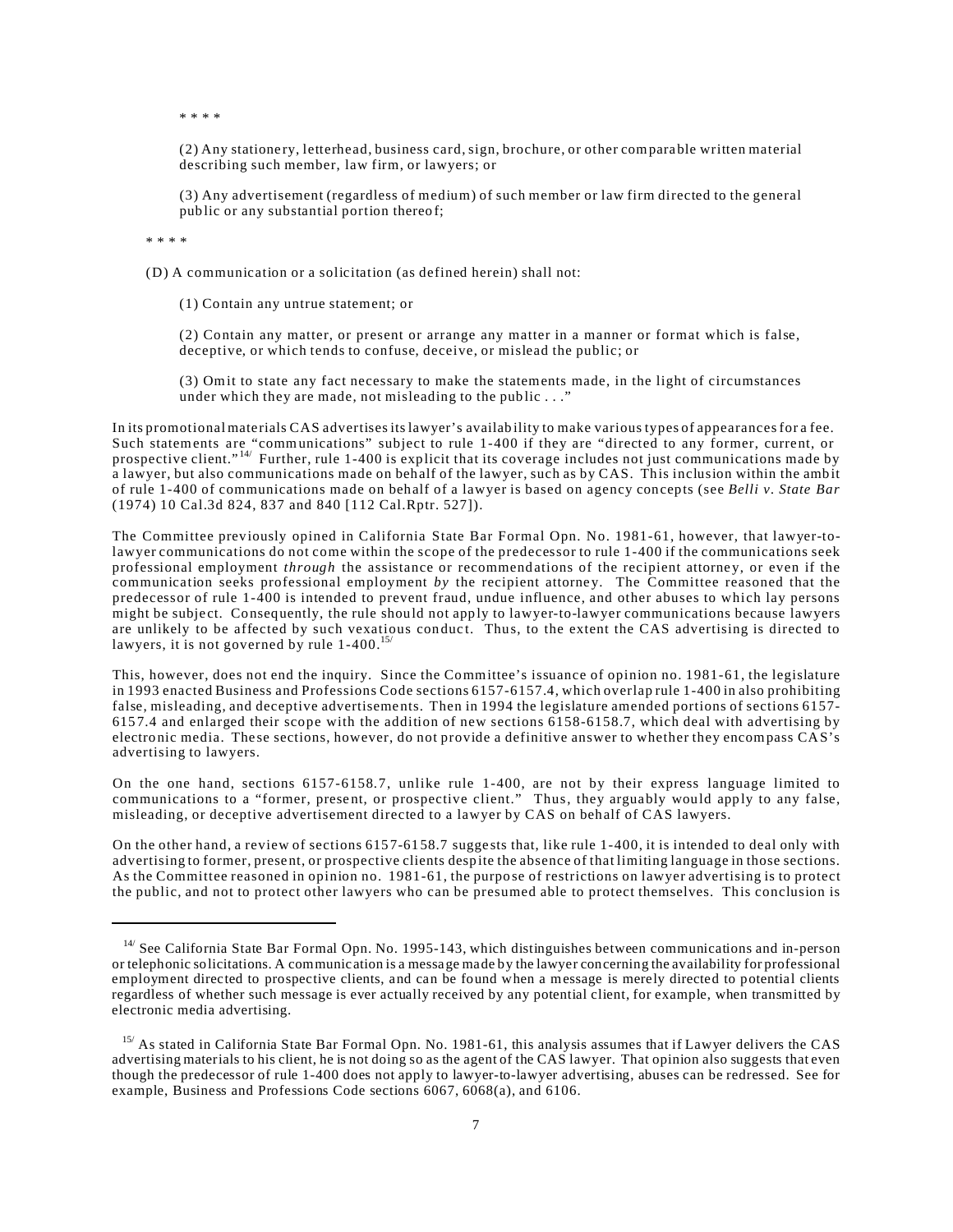\* \* \* \*

(2) Any statione ry, letterhead, business card, sign, brochure, or other compara ble written material describing such member, law firm, or lawyers; or

(3) Any advertisement (regardless of medium) of such member or law firm directed to the general public or any substantial portion thereof;

\* \* \* \*

(D) A communication or a solicitation (as defined herein) shall not:

(1) Contain any untrue statement; or

(2) Contain any matter, or present or arrange any matter in a manner or format which is false, deceptive, or which tends to confuse, deceive, or mislead the public; or

(3) Omit to state any fact necessary to make the statements made, in the light of circumstances under which they are made, not misleading to the public  $\ldots$ "

In its promotional mate rials CAS advertisesits lawyer's availab ility to make various types of appearancesfor a fee. Such statements are "communications" subject to rule 1-400 if they are "directed to any former, current, or prospective client."<sup>14/</sup> Further, rule 1-400 is explicit that its coverage includes not just communications made by a lawyer, but also communications made on behalf of the lawyer, such as by CAS. This inclusion within the ambit of rule 1-400 of communications made on behalf of a lawyer is based on agency concepts (see *Belli v. State Bar* (1974) 10 Cal.3d 824, 837 and 840 [112 Cal.Rptr. 527]).

The Committee previously opined in California State Bar Formal Opn. No. 1981-61, however, that lawyer-tolawyer communications do not come within the scope of the predecessor to rule 1-400 if the communications seek professional employment *through* the assistance or recommendations of the recipient attorney, or even if the communication seeks professional employment *by* the recipient attorney. The Committee reasoned that the predecessor of rule 1-400 is intended to prevent fraud, undue influence, and other abuses to which lay persons might be subject. Consequently, the rule should not apply to lawyer-to-lawyer communications because lawyers are unlikely to be affected by such vexatious conduct. Thus, to the extent the CAS advertising is directed to lawyers, it is not governed by rule 1-400.<sup>15</sup>

This, however, does not end the inquiry. Since the Committee's issuance of opinion no. 1981-61, the legislature in 1993 enacted Business and Professions Code sections 6157-6157.4, which overlap rule 1-400 in also prohibiting false, misleading, and deceptive advertisements. Then in 1994 the legislature amended portions of sections 6157-615 7.4 and enlarged their scope with the addition of new sections 6158-6158.7, which deal with advertising by electronic media. These sections, however, do not provide a definitive answer to whether they encompass CAS's advertising to lawyers.

On the one hand, sections 6157-6158.7, unlike rule 1-400, are not by their express language limited to communications to a "former, present, or prospective client." Thus, they arguably would apply to any false, misleading, or deceptive advertisement directed to a lawyer by CAS on behalf of CAS lawyers.

On the other hand, a review of sections 6157-6158.7 suggests that, like rule 1-400, it is intended to deal only with advertising to former, prese nt, or prospective clients desp ite the absence of that limiting language in those sections. As the Committee reasoned in opinion no. 1981-61, the purpose of restrictions on lawyer advertising is to protect the public, and not to protect other lawyers who can be presumed able to protect themselves. This conclusion is

 <sup>14/</sup> See California State Bar Formal Opn. No. 1995-143, which distinguishes between communications and in-person or telephonic solicitations. A communication is a message made by the lawyer concerning the availability for professional employment directed to prospective clients, and can be found when a message is merely directed to potential clients regardless of whether such message is ever actually received by any potential client, for example, when transmitted by electronic media advertising.

<sup>&</sup>lt;sup>15/</sup> As stated in California State Bar Formal Opn. No. 1981-61, this analysis assumes that if Lawyer delivers the CAS advertising materials to his client, he is not doing so as the agent of the CAS lawyer. That opinion also suggests that even though the predecessor of rule 1-400 does not apply to lawyer-to-lawyer advertising, abuses can be redressed. See for example, Business and Professions Code sections 6067, 6068(a), and 6106.